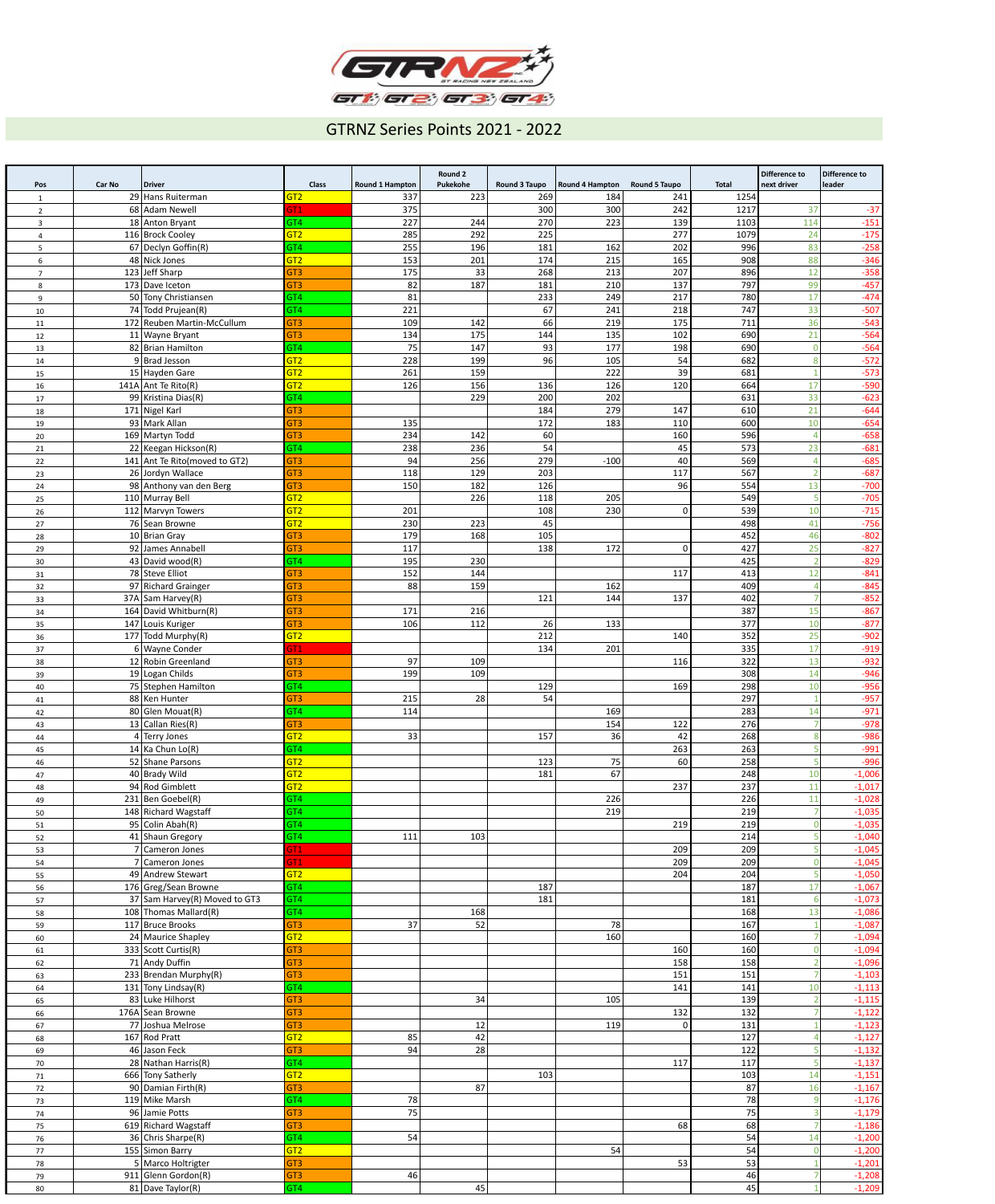

## GTRNZ Series Points 2021 - 2022

| Pos                 | Car No | <b>Driver</b>                                  | <b>Class</b>                       | <b>Round 1 Hampton</b> | <b>Round 2</b><br>Pukekohe | Round 3 Taupo | Round 4 Hampton | <b>Round 5 Taupo</b> | <b>Total</b> | <b>Difference to</b><br>next driver | Difference to<br>leader |
|---------------------|--------|------------------------------------------------|------------------------------------|------------------------|----------------------------|---------------|-----------------|----------------------|--------------|-------------------------------------|-------------------------|
| 1                   |        | 29 Hans Ruiterman                              | GT <sub>2</sub>                    | 337                    | 223                        | 269           | 184             | 241                  | 1254         |                                     |                         |
| $\overline{2}$      |        | 68 Adam Newell                                 | GT1                                | 375                    |                            | 300           | 300             | 242                  | 1217         | 37                                  | $-37$                   |
| $\overline{3}$      |        | 18 Anton Bryant                                | GT4                                | 227                    | 244                        | 270           | 223             | 139                  | 1103         | 114                                 | $-151$                  |
| 4                   |        | 116 Brock Cooley                               | GT <sub>2</sub>                    | 285                    | 292                        | 225           |                 | 277                  | 1079         | 24                                  | $-175$                  |
| 5                   |        | 67 Declyn Goffin(R)                            | GT4                                | 255                    | 196                        | 181           | 162             | 202                  | 996          | 83                                  | $-258$                  |
| 6<br>$\overline{7}$ |        | 48 Nick Jones<br>123 Jeff Sharp                | GT <sub>2</sub><br>GT <sub>3</sub> | 153<br>175             | 201<br>33                  | 174<br>268    | 215<br>213      | 165<br>207           | 908<br>896   | 88<br>12                            | $-346$<br>$-358$        |
| 8                   |        | 173 Dave Iceton                                | GT <sub>3</sub>                    | 82                     | 187                        | 181           | 210             | 137                  | 797          | 99                                  | $-457$                  |
| 9                   |        | 50 Tony Christiansen                           | GT4                                | 81                     |                            | 233           | 249             | 217                  | 780          | 17                                  | $-474$                  |
| 10                  |        | 74 Todd Prujean(R)                             | GT4                                | 221                    |                            | 67            | 241             | 218                  | 747          | 33                                  | $-507$                  |
| 11                  |        | 172 Reuben Martin-McCullum                     | GT <sub>3</sub>                    | 109                    | 142                        | 66            | 219             | 175                  | 711          | 36                                  | $-543$                  |
| 12                  |        | 11 Wayne Bryant                                | GT <sub>3</sub>                    | 134                    | 175                        | 144           | 135             | 102                  | 690          | 21                                  | $-564$                  |
| 13                  |        | 82 Brian Hamilton                              | GT4                                | 75                     | 147                        | 93            | 177             | 198                  | 690          |                                     | $-564$                  |
| 14                  |        | 9 Brad Jesson                                  | GT <sub>2</sub>                    | 228                    | 199                        | 96            | 105             | 54                   | 682          |                                     | $-572$<br>$-573$        |
| 15<br>16            |        | 15 Hayden Gare<br>141A $\text{Ant}$ Te Rito(R) | GT <sub>2</sub><br>GT <sub>2</sub> | 261<br>126             | 159<br>156                 | 136           | 222<br>126      | 39<br>120            | 681<br>664   | 17                                  | $-590$                  |
| 17                  |        | 99 Kristina Dias(R)                            | GT4                                |                        | 229                        | 200           | 202             |                      | 631          | 33                                  | $-623$                  |
| 18                  |        | 171 Nigel Karl                                 | GT <sub>3</sub>                    |                        |                            | 184           | 279             | 147                  | 610          | 21                                  | $-644$                  |
| 19                  |        | 93 Mark Allan                                  | GT <sub>3</sub>                    | 135                    |                            | 172           | 183             | 110                  | 600          | 10                                  | $-654$                  |
| 20                  |        | 169 Martyn Todd                                | GT <sub>3</sub>                    | 234                    | 142                        | 60            |                 | 160                  | 596          |                                     | $-658$                  |
| 21                  |        | 22 Keegan Hickson(R)                           | GT4                                | 238                    | 236                        | 54            |                 | 45                   | 573          | 23                                  | $-681$                  |
| 22                  |        | 141 Ant Te Rito (moved to GT2)                 | GT <sub>3</sub>                    | 94                     | 256                        | 279           | $-100$          | 40                   | 569          |                                     | $-685$                  |
| 23                  |        | 26 Jordyn Wallace<br>98 Anthony van den Berg   | GT <sub>3</sub><br>GT <sub>3</sub> | 118<br>150             | 129<br>182                 | 203<br>126    |                 | 117<br>96            | 567<br>554   | 13                                  | $-687$<br>$-700$        |
| 24<br>25            |        | 110 Murray Bell                                | GT <sub>2</sub>                    |                        | 226                        | 118           | 205             |                      | 549          |                                     | $-705$                  |
| 26                  |        | 112 Marvyn Towers                              | GT <sub>2</sub>                    | 201                    |                            | 108           | 230             | $\overline{0}$       | 539          | 10                                  | $-715$                  |
| 27                  |        | 76 Sean Browne                                 | GT <sub>2</sub>                    | 230                    | 223                        | 45            |                 |                      | 498          | 41                                  | $-756$                  |
| 28                  |        | $10$ Brian Gray                                | GT3                                | 179                    | 168                        | 105           |                 |                      | 452          | 46                                  | $-802$                  |
| 29                  |        | 92 James Annabell                              | GT <sub>3</sub>                    | 117                    |                            | 138           | 172             | $\overline{0}$       | 427          | 25                                  | $-827$                  |
| 30                  |        | 43 David wood(R)                               | GT4                                | 195                    | 230                        |               |                 |                      | 425          |                                     | $-829$                  |
| $31\,$              |        | 78 Steve Elliot                                | GT <sub>3</sub>                    | 152                    | 144                        |               |                 | 117                  | 413          | 12                                  | $-841$                  |
| 32                  |        | 97 Richard Grainger<br>$37A$ Sam Harvey(R)     | GT <sub>3</sub><br>GT <sub>3</sub> | 88                     | 159                        | 121           | 162<br>144      | 137                  | 409<br>402   |                                     | $-845$<br>$-852$        |
| 33<br>34            |        | 164 David Whitburn(R)                          | GT <sub>3</sub>                    | 171                    | 216                        |               |                 |                      | 387          | 15                                  | $-867$                  |
| 35                  |        | 147 Louis Kuriger                              | GT <sub>3</sub>                    | 106                    | 112                        | 26            | 133             |                      | 377          | 10                                  | $-877$                  |
| 36                  |        | 177 Todd Murphy(R)                             | GT <sub>2</sub>                    |                        |                            | 212           |                 | 140                  | 352          | 25                                  | $-902$                  |
| 37                  |        | 6 Wayne Conder                                 | GT1                                |                        |                            | 134           | 201             |                      | 335          | 17                                  | $-919$                  |
| 38                  |        | 12 Robin Greenland                             | GT <sub>3</sub>                    | 97                     | 109                        |               |                 | 116                  | 322          | 13                                  | $-932$                  |
| 39                  |        | 19 Logan Childs                                | GT <sub>3</sub>                    | 199                    | 109                        |               |                 |                      | 308          | 14                                  | $-946$                  |
| 40                  |        | 75 Stephen Hamilton                            | GT4                                |                        |                            | 129           |                 | 169                  | 298          | 10                                  | $-956$                  |
| 41                  |        | 88 Ken Hunter<br>$80$ Glen Mouat(R)            | GT <sub>3</sub><br>GT4             | 215<br>114             | 28                         | 54            | 169             |                      | 297<br>283   | 14                                  | $-957$<br>$-971$        |
| 42<br>43            |        | 13 Callan Ries $(R)$                           | GT <sub>3</sub>                    |                        |                            |               | 154             | 122                  | 276          |                                     | $-978$                  |
| 44                  |        | $4$ Terry Jones                                | GT <sub>2</sub>                    | 33                     |                            | 157           | 36              | 42                   | 268          |                                     | $-986$                  |
| 45                  |        | 14 Ka Chun Lo(R)                               | GT4                                |                        |                            |               |                 | 263                  | 263          |                                     | $-991$                  |
| 46                  |        | 52 Shane Parsons                               | GT <sub>2</sub>                    |                        |                            | 123           | 75              | 60                   | 258          |                                     | $-996$                  |
| 47                  |        | 40 Brady Wild                                  | GT <sub>2</sub>                    |                        |                            | 181           | 67              |                      | 248          | 10                                  | $-1,006$                |
| 48                  |        | 94 Rod Gimblett                                | GT <sub>2</sub>                    |                        |                            |               |                 | 237                  | 237          | 11                                  | $-1,017$                |
| 49                  |        | $231$  Ben Goebel(R)                           | GT4                                |                        |                            |               | 226             |                      | 226          | 11                                  | $-1,028$                |
| 50                  |        | 148 Richard Wagstaff<br>$95$ Colin Abah(R)     | GT4<br>GT4                         |                        |                            |               | 219             | 219                  | 219<br>219   |                                     | $-1,035$<br>$-1,035$    |
| 51<br>52            |        | 41 Shaun Gregory                               | GT4                                | 111                    | 103                        |               |                 |                      | 214          |                                     | $-1,040$                |
| 53                  |        | 7 Cameron Jones                                | GT1                                |                        |                            |               |                 | 209                  | 209          |                                     | $-1,045$                |
| 54                  |        | 7 Cameron Jones                                | GT1                                |                        |                            |               |                 | 209                  | 209          |                                     | $-1,045$                |
| 55                  |        | 49 Andrew Stewart                              | GT <sub>2</sub>                    |                        |                            |               |                 | 204                  | 204          |                                     | $-1,050$                |
| 56                  |        | 176 Greg/Sean Browne                           | GT4                                |                        |                            | 187           |                 |                      | 187          | 17                                  | $-1,067$                |
| 57                  |        | 37 Sam Harvey(R) Moved to GT3                  | GT4                                |                        |                            | 181           |                 |                      | 181          |                                     | $-1,073$                |
| 58                  |        | $108$ Thomas Mallard(R)<br>117 Bruce Brooks    | GT4<br>GT3                         | 37                     | 168                        |               | 78              |                      | 168<br>167   | 13                                  | $-1,086$                |
| 59<br>60            |        | 24 Maurice Shapley                             | GT <sub>2</sub>                    |                        | 52                         |               | 160             |                      | 160          |                                     | $-1,087$<br>$-1,094$    |
| 61                  |        | $333$ Scott Curtis(R)                          | GT <sub>3</sub>                    |                        |                            |               |                 | 160                  | 160          |                                     | $-1,094$                |
| 62                  |        | 71 Andy Duffin                                 | GT <sub>3</sub>                    |                        |                            |               |                 | 158                  | 158          |                                     | $-1,096$                |
| 63                  |        | $233$ Brendan Murphy(R)                        | GT3                                |                        |                            |               |                 | 151                  | 151          |                                     | $-1,103$                |
| 64                  |        | $131$ Tony Lindsay(R)                          | GT4                                |                        |                            |               |                 | 141                  | 141          | 10                                  | $-1,113$                |
| 65                  |        | 83 Luke Hilhorst                               | GT3                                |                        | 34                         |               | 105             |                      | 139          |                                     | $-1,115$                |
| 66                  |        | 176A Sean Browne                               | GT3                                |                        |                            |               |                 | 132                  | 132          |                                     | $-1,122$                |
| 67                  |        | 77 Joshua Melrose                              | GT3<br>GT <sub>2</sub>             |                        | 12                         |               | 119             |                      | 131<br>127   |                                     | $-1,123$                |
| 68<br>69            |        | 167 Rod Pratt<br>46 Jason Feck                 | GT3                                | 85<br>94               | 42<br>28                   |               |                 |                      | 122          |                                     | $-1,127$<br>$-1,132$    |
| 70                  |        | $28$ Nathan Harris(R)                          | GT4                                |                        |                            |               |                 | 117                  | 117          |                                     | $-1,137$                |
| 71                  |        | 666 Tony Satherly                              | GT <sub>2</sub>                    |                        |                            | 103           |                 |                      | 103          | 14                                  | $-1,151$                |
| 72                  |        | 90 Damian Firth(R)                             | GT3                                |                        | 87                         |               |                 |                      | 87           | 16                                  | $-1,167$                |
| 73                  |        | 119 Mike Marsh                                 | GT4                                | 78                     |                            |               |                 |                      | 78           |                                     | $-1,176$                |
| 74                  |        | 96 Jamie Potts                                 | GT3                                | 75                     |                            |               |                 |                      | 75           |                                     | $-1,179$                |
| 75                  |        | 619 Richard Wagstaff                           | GT3                                |                        |                            |               |                 | 68                   | 68           |                                     | $-1,186$                |
| 76                  |        | $36$ Chris Sharpe(R)<br>155 Simon Barry        | GT4<br>GT <sub>2</sub>             | 54                     |                            |               | 54              |                      | 54<br>54     | 14                                  | $-1,200$<br>$-1,200$    |
| 77<br>78            |        | 5 Marco Holtrigter                             | GT3                                |                        |                            |               |                 | 53                   | 53           |                                     | $-1,201$                |
| 79                  |        | 911 Glenn Gordon(R)                            | GT3                                | 46                     |                            |               |                 |                      | 46           |                                     | $-1,208$                |
| 80                  |        | $81$ Dave Taylor(R)                            | GT4                                |                        | 45                         |               |                 |                      | 45           |                                     | $-1,209$                |